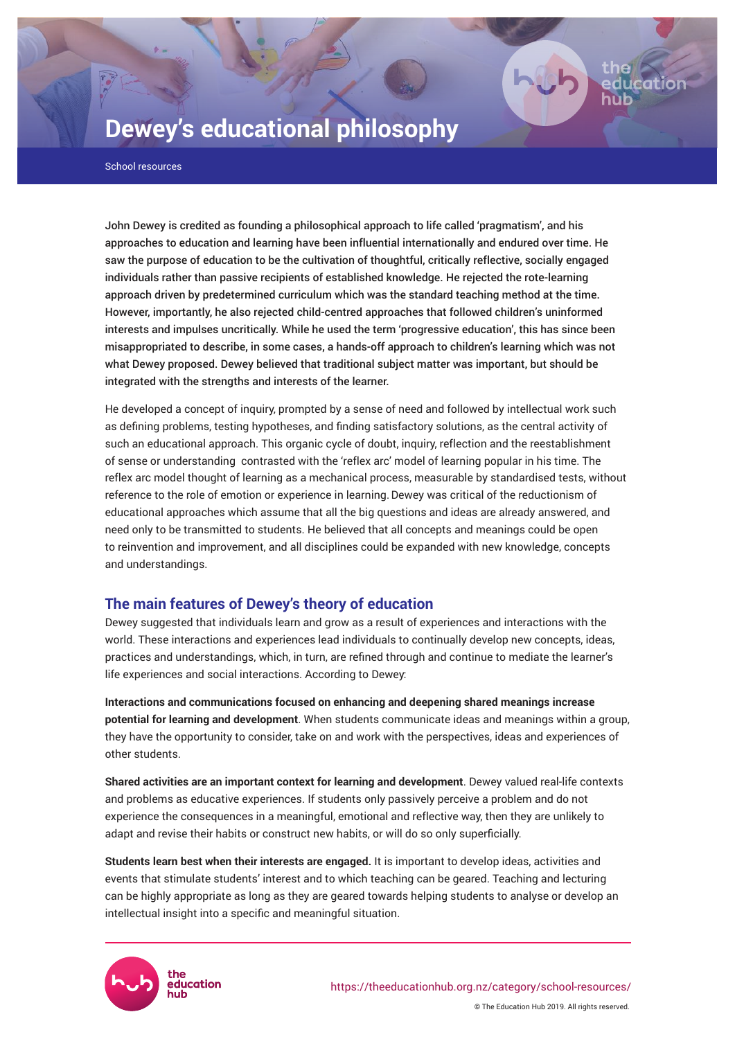# **Dewey's educational philosophy**

School resources

John Dewey is credited as founding a philosophical approach to life called 'pragmatism', and his approaches to education and learning have been influential internationally and endured over time. He saw the purpose of education to be the cultivation of thoughtful, critically reflective, socially engaged individuals rather than passive recipients of established knowledge. He rejected the rote-learning approach driven by predetermined curriculum which was the standard teaching method at the time. However, importantly, he also rejected child-centred approaches that followed children's uninformed interests and impulses uncritically. While he used the term 'progressive education', this has since been misappropriated to describe, in some cases, a hands-off approach to children's learning which was not what Dewey proposed. Dewey believed that traditional subject matter was important, but should be integrated with the strengths and interests of the learner.

He developed a concept of inquiry, prompted by a sense of need and followed by intellectual work such as defining problems, testing hypotheses, and finding satisfactory solutions, as the central activity of such an educational approach. This organic cycle of doubt, inquiry, reflection and the reestablishment of sense or understanding contrasted with the 'reflex arc' model of learning popular in his time. The reflex arc model thought of learning as a mechanical process, measurable by standardised tests, without reference to the role of emotion or experience in learning.Dewey was critical of the reductionism of educational approaches which assume that all the big questions and ideas are already answered, and need only to be transmitted to students. He believed that all concepts and meanings could be open to reinvention and improvement, and all disciplines could be expanded with new knowledge, concepts and understandings.

# **The main features of Dewey's theory of education**

Dewey suggested that individuals learn and grow as a result of experiences and interactions with the world. These interactions and experiences lead individuals to continually develop new concepts, ideas, practices and understandings, which, in turn, are refined through and continue to mediate the learner's life experiences and social interactions. According to Dewey:

**Interactions and communications focused on enhancing and deepening shared meanings increase potential for learning and development**. When students communicate ideas and meanings within a group, they have the opportunity to consider, take on and work with the perspectives, ideas and experiences of other students.

**Shared activities are an important context for learning and development**. Dewey valued real-life contexts and problems as educative experiences. If students only passively perceive a problem and do not experience the consequences in a meaningful, emotional and reflective way, then they are unlikely to adapt and revise their habits or construct new habits, or will do so only superficially.

**Students learn best when their interests are engaged.** It is important to develop ideas, activities and events that stimulate students' interest and to which teaching can be geared. Teaching and lecturing can be highly appropriate as long as they are geared towards helping students to analyse or develop an intellectual insight into a specific and meaningful situation.

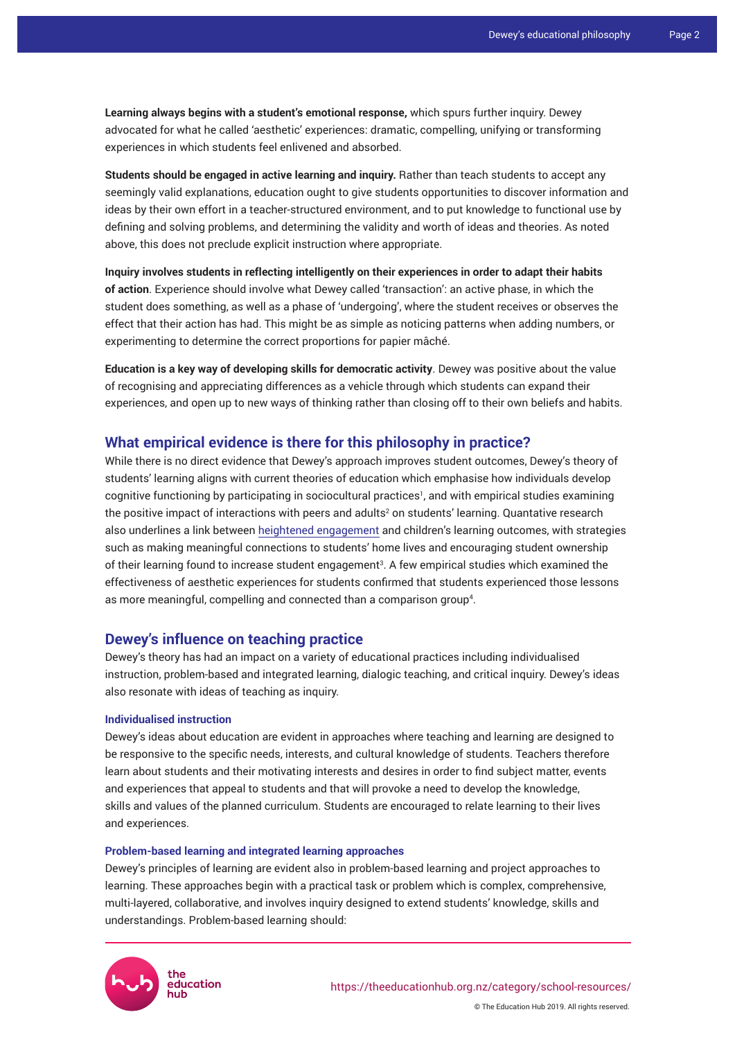**Learning always begins with a student's emotional response,** which spurs further inquiry. Dewey advocated for what he called 'aesthetic' experiences: dramatic, compelling, unifying or transforming experiences in which students feel enlivened and absorbed.

**Students should be engaged in active learning and inquiry.** Rather than teach students to accept any seemingly valid explanations, education ought to give students opportunities to discover information and ideas by their own effort in a teacher-structured environment, and to put knowledge to functional use by defining and solving problems, and determining the validity and worth of ideas and theories. As noted above, this does not preclude explicit instruction where appropriate.

**Inquiry involves students in reflecting intelligently on their experiences in order to adapt their habits of action**. Experience should involve what Dewey called 'transaction': an active phase, in which the student does something, as well as a phase of 'undergoing', where the student receives or observes the effect that their action has had. This might be as simple as noticing patterns when adding numbers, or experimenting to determine the correct proportions for papier mâché.

**Education is a key way of developing skills for democratic activity**. Dewey was positive about the value of recognising and appreciating differences as a vehicle through which students can expand their experiences, and open up to new ways of thinking rather than closing off to their own beliefs and habits.

# **What empirical evidence is there for this philosophy in practice?**

While there is no direct evidence that Dewey's approach improves student outcomes, Dewey's theory of students' learning aligns with current theories of education which emphasise how individuals develop cognitive functioning by participating in sociocultural practices', and with empirical studies examining the positive impact of interactions with peers and adults<sup>2</sup> on students' learning. Quantative research also underlines a link between [heightened engagement](https://theeducationhub.org.nz/an-introduction-to-engagement-in-educational-settings/) and children's learning outcomes, with strategies such as making meaningful connections to students' home lives and encouraging student ownership of their learning found to increase student engagement<sup>3</sup>. A few empirical studies which examined the effectiveness of aesthetic experiences for students confirmed that students experienced those lessons as more meaningful, compelling and connected than a comparison group<sup>4</sup>.

## **Dewey's influence on teaching practice**

Dewey's theory has had an impact on a variety of educational practices including individualised instruction, problem-based and integrated learning, dialogic teaching, and critical inquiry. Dewey's ideas also resonate with ideas of teaching as inquiry.

## **Individualised instruction**

Dewey's ideas about education are evident in approaches where teaching and learning are designed to be responsive to the specific needs, interests, and cultural knowledge of students. Teachers therefore learn about students and their motivating interests and desires in order to find subject matter, events and experiences that appeal to students and that will provoke a need to develop the knowledge, skills and values of the planned curriculum. Students are encouraged to relate learning to their lives and experiences.

#### **Problem-based learning and integrated learning approaches**

Dewey's principles of learning are evident also in problem-based learning and project approaches to learning. These approaches begin with a practical task or problem which is complex, comprehensive, multi-layered, collaborative, and involves inquiry designed to extend students' knowledge, skills and understandings. Problem-based learning should:



© The Education Hub 2019. All rights reserved.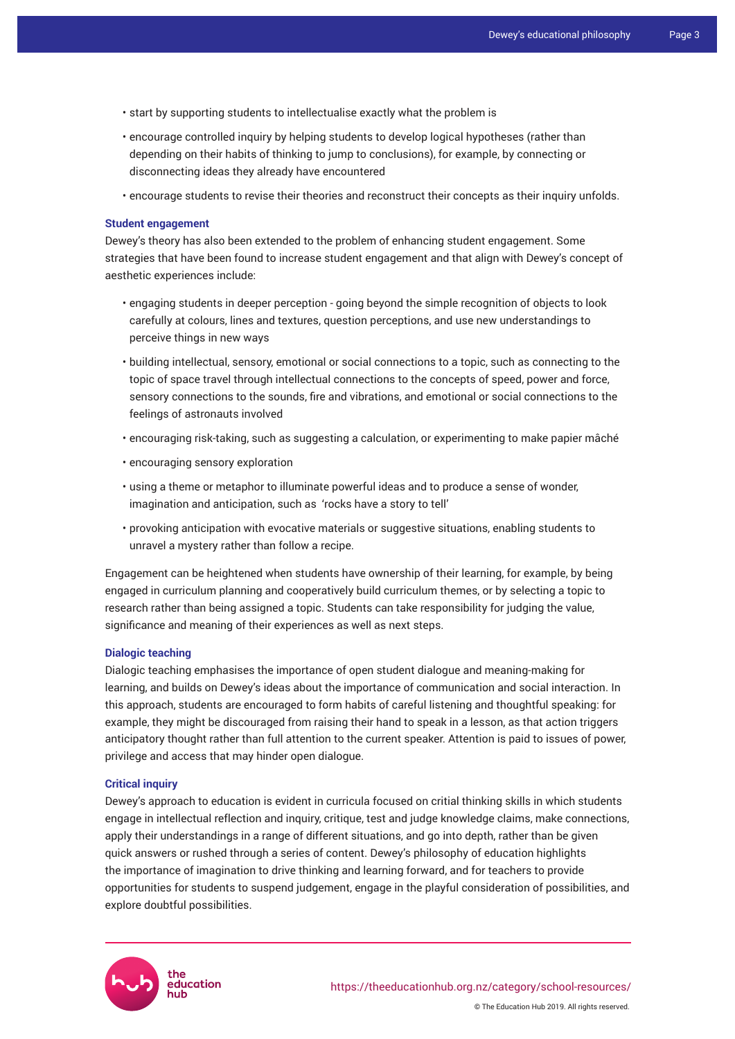- start by supporting students to intellectualise exactly what the problem is
- encourage controlled inquiry by helping students to develop logical hypotheses (rather than depending on their habits of thinking to jump to conclusions), for example, by connecting or disconnecting ideas they already have encountered
- encourage students to revise their theories and reconstruct their concepts as their inquiry unfolds.

### **Student engagement**

Dewey's theory has also been extended to the problem of enhancing student engagement. Some strategies that have been found to increase student engagement and that align with Dewey's concept of aesthetic experiences include:

- engaging students in deeper perception going beyond the simple recognition of objects to look carefully at colours, lines and textures, question perceptions, and use new understandings to perceive things in new ways
- building intellectual, sensory, emotional or social connections to a topic, such as connecting to the topic of space travel through intellectual connections to the concepts of speed, power and force, sensory connections to the sounds, fire and vibrations, and emotional or social connections to the feelings of astronauts involved
- encouraging risk-taking, such as suggesting a calculation, or experimenting to make papier mâché
- encouraging sensory exploration
- using a theme or metaphor to illuminate powerful ideas and to produce a sense of wonder, imagination and anticipation, such as 'rocks have a story to tell'
- provoking anticipation with evocative materials or suggestive situations, enabling students to unravel a mystery rather than follow a recipe.

Engagement can be heightened when students have ownership of their learning, for example, by being engaged in curriculum planning and cooperatively build curriculum themes, or by selecting a topic to research rather than being assigned a topic. Students can take responsibility for judging the value, significance and meaning of their experiences as well as next steps.

## **Dialogic teaching**

Dialogic teaching emphasises the importance of open student dialogue and meaning-making for learning, and builds on Dewey's ideas about the importance of communication and social interaction. In this approach, students are encouraged to form habits of careful listening and thoughtful speaking: for example, they might be discouraged from raising their hand to speak in a lesson, as that action triggers anticipatory thought rather than full attention to the current speaker. Attention is paid to issues of power, privilege and access that may hinder open dialogue.

#### **Critical inquiry**

Dewey's approach to education is evident in curricula focused on critial thinking skills in which students engage in intellectual reflection and inquiry, critique, test and judge knowledge claims, make connections, apply their understandings in a range of different situations, and go into depth, rather than be given quick answers or rushed through a series of content. Dewey's philosophy of education highlights the importance of imagination to drive thinking and learning forward, and for teachers to provide opportunities for students to suspend judgement, engage in the playful consideration of possibilities, and explore doubtful possibilities.